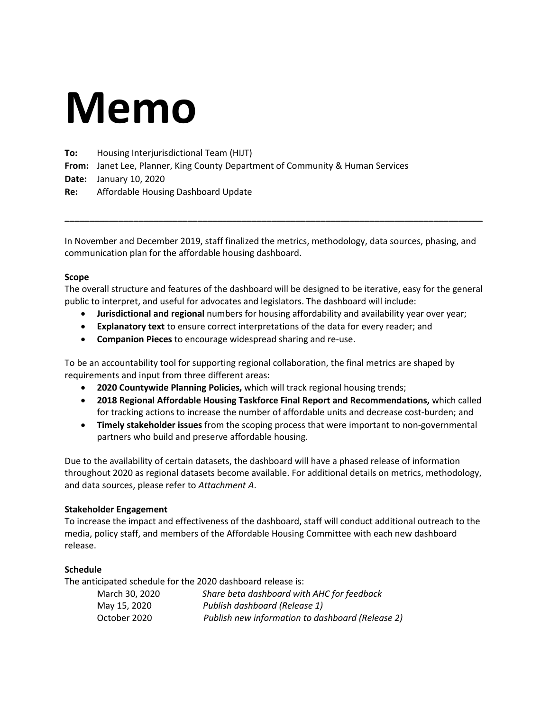# **Memo**

**To:** Housing Interjurisdictional Team (HIJT)

**From:** Janet Lee, Planner, King County Department of Community & Human Services

**Date:** January 10, 2020

**Re:** Affordable Housing Dashboard Update

In November and December 2019, staff finalized the metrics, methodology, data sources, phasing, and communication plan for the affordable housing dashboard.

**\_\_\_\_\_\_\_\_\_\_\_\_\_\_\_\_\_\_\_\_\_\_\_\_\_\_\_\_\_\_\_\_\_\_\_\_\_\_\_\_\_\_\_\_\_\_\_\_\_\_\_\_\_\_\_\_\_\_\_\_\_\_\_\_\_\_\_\_\_\_\_\_\_\_\_\_\_\_\_\_\_\_\_\_\_**

#### **Scope**

The overall structure and features of the dashboard will be designed to be iterative, easy for the general public to interpret, and useful for advocates and legislators. The dashboard will include:

- **Jurisdictional and regional** numbers for housing affordability and availability year over year;
- **Explanatory text** to ensure correct interpretations of the data for every reader; and
- **Companion Pieces** to encourage widespread sharing and re-use.

To be an accountability tool for supporting regional collaboration, the final metrics are shaped by requirements and input from three different areas:

- **2020 Countywide Planning Policies,** which will track regional housing trends;
- **2018 Regional Affordable Housing Taskforce Final Report and Recommendations,** which called for tracking actions to increase the number of affordable units and decrease cost-burden; and
- **Timely stakeholder issues** from the scoping process that were important to non-governmental partners who build and preserve affordable housing.

Due to the availability of certain datasets, the dashboard will have a phased release of information throughout 2020 as regional datasets become available. For additional details on metrics, methodology, and data sources, please refer to *Attachment A*.

### **Stakeholder Engagement**

To increase the impact and effectiveness of the dashboard, staff will conduct additional outreach to the media, policy staff, and members of the Affordable Housing Committee with each new dashboard release.

### **Schedule**

The anticipated schedule for the 2020 dashboard release is:

| March 30, 2020 | Share beta dashboard with AHC for feedback       |
|----------------|--------------------------------------------------|
| May 15, 2020   | Publish dashboard (Release 1)                    |
| October 2020   | Publish new information to dashboard (Release 2) |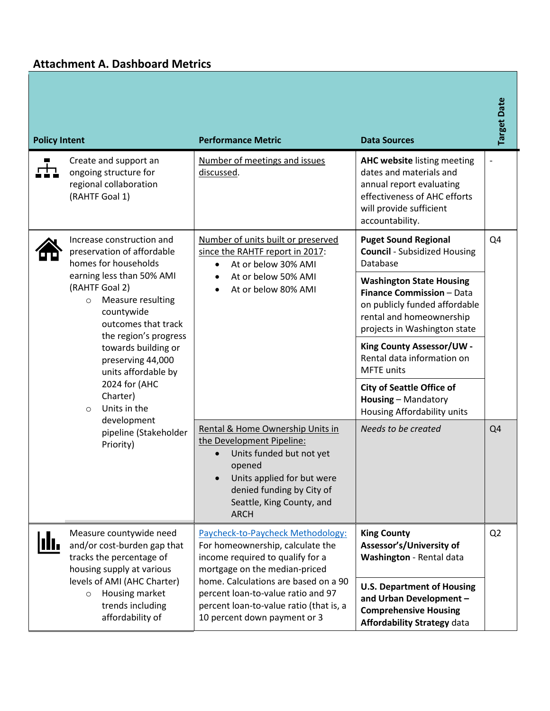## **Attachment A. Dashboard Metrics**

| <b>Policy Intent</b>                                                                             |                                                                                                                                                       | <b>Performance Metric</b>                                                                                                                                                                                                            | <b>Data Sources</b>                                                                                                                                                     | <b>Target Date</b>       |
|--------------------------------------------------------------------------------------------------|-------------------------------------------------------------------------------------------------------------------------------------------------------|--------------------------------------------------------------------------------------------------------------------------------------------------------------------------------------------------------------------------------------|-------------------------------------------------------------------------------------------------------------------------------------------------------------------------|--------------------------|
|                                                                                                  | Create and support an<br>ongoing structure for<br>regional collaboration<br>(RAHTF Goal 1)                                                            | Number of meetings and issues<br>discussed.                                                                                                                                                                                          | <b>AHC website listing meeting</b><br>dates and materials and<br>annual report evaluating<br>effectiveness of AHC efforts<br>will provide sufficient<br>accountability. | $\overline{\phantom{a}}$ |
|                                                                                                  | Increase construction and<br>preservation of affordable<br>homes for households                                                                       | Number of units built or preserved<br>since the RAHTF report in 2017:<br>At or below 30% AMI<br>$\bullet$                                                                                                                            | <b>Puget Sound Regional</b><br><b>Council - Subsidized Housing</b><br>Database                                                                                          | Q4                       |
|                                                                                                  | earning less than 50% AMI<br>(RAHTF Goal 2)<br>Measure resulting<br>$\circ$<br>countywide<br>outcomes that track<br>the region's progress             | At or below 50% AMI<br>$\bullet$<br>At or below 80% AMI<br>$\bullet$                                                                                                                                                                 | <b>Washington State Housing</b><br><b>Finance Commission - Data</b><br>on publicly funded affordable<br>rental and homeownership<br>projects in Washington state        |                          |
|                                                                                                  | towards building or<br>preserving 44,000<br>units affordable by                                                                                       |                                                                                                                                                                                                                                      | <b>King County Assessor/UW -</b><br>Rental data information on<br><b>MFTE</b> units                                                                                     |                          |
| 2024 for (AHC<br>Charter)<br>Units in the<br>$\circ$                                             |                                                                                                                                                       | <b>City of Seattle Office of</b><br><b>Housing - Mandatory</b><br>Housing Affordability units                                                                                                                                        |                                                                                                                                                                         |                          |
|                                                                                                  | development<br>pipeline (Stakeholder<br>Priority)                                                                                                     | Rental & Home Ownership Units in<br>the Development Pipeline:<br>Units funded but not yet<br>$\bullet$<br>opened<br>Units applied for but were<br>$\bullet$<br>denied funding by City of<br>Seattle, King County, and<br><b>ARCH</b> | Needs to be created                                                                                                                                                     | Q4                       |
| i ilin                                                                                           | Measure countywide need<br>and/or cost-burden gap that<br>tracks the percentage of<br>housing supply at various                                       | Paycheck-to-Paycheck Methodology:<br>For homeownership, calculate the<br>income required to qualify for a<br>mortgage on the median-priced                                                                                           | <b>King County</b><br>Assessor's/University of<br>Washington - Rental data                                                                                              | Q <sub>2</sub>           |
| levels of AMI (AHC Charter)<br>Housing market<br>$\circ$<br>trends including<br>affordability of | home. Calculations are based on a 90<br>percent loan-to-value ratio and 97<br>percent loan-to-value ratio (that is, a<br>10 percent down payment or 3 | <b>U.S. Department of Housing</b><br>and Urban Development -<br><b>Comprehensive Housing</b><br><b>Affordability Strategy data</b>                                                                                                   |                                                                                                                                                                         |                          |

bate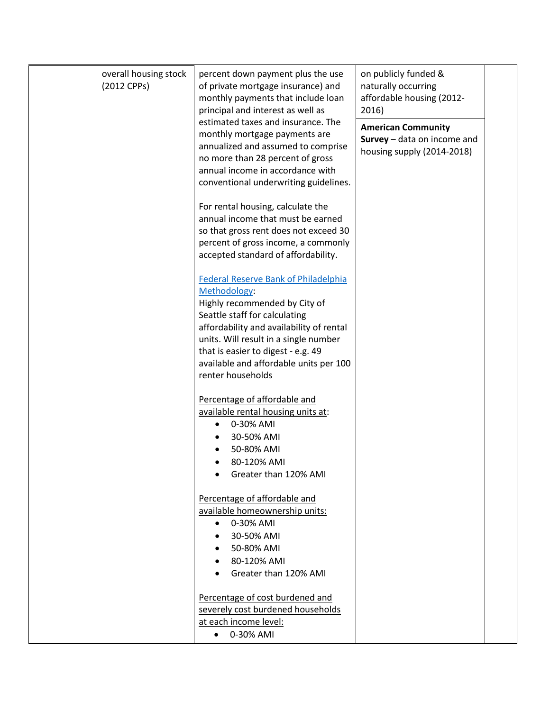| overall housing stock<br>(2012 CPPs) | percent down payment plus the use<br>of private mortgage insurance) and<br>monthly payments that include loan<br>principal and interest as well as<br>estimated taxes and insurance. The<br>monthly mortgage payments are<br>annualized and assumed to comprise<br>no more than 28 percent of gross<br>annual income in accordance with<br>conventional underwriting guidelines. | on publicly funded &<br>naturally occurring<br>affordable housing (2012-<br>2016)<br><b>American Community</b><br>Survey $-$ data on income and<br>housing supply (2014-2018) |  |
|--------------------------------------|----------------------------------------------------------------------------------------------------------------------------------------------------------------------------------------------------------------------------------------------------------------------------------------------------------------------------------------------------------------------------------|-------------------------------------------------------------------------------------------------------------------------------------------------------------------------------|--|
|                                      | For rental housing, calculate the<br>annual income that must be earned<br>so that gross rent does not exceed 30<br>percent of gross income, a commonly<br>accepted standard of affordability.                                                                                                                                                                                    |                                                                                                                                                                               |  |
|                                      | <b>Federal Reserve Bank of Philadelphia</b><br>Methodology:<br>Highly recommended by City of<br>Seattle staff for calculating<br>affordability and availability of rental<br>units. Will result in a single number<br>that is easier to digest - e.g. 49<br>available and affordable units per 100                                                                               |                                                                                                                                                                               |  |
|                                      | renter households<br>Percentage of affordable and<br>available rental housing units at:<br>0-30% AMI<br>30-50% AMI<br>50-80% AMI<br>80-120% AMI                                                                                                                                                                                                                                  |                                                                                                                                                                               |  |
|                                      | Greater than 120% AMI<br>Percentage of affordable and<br>available homeownership units:<br>0-30% AMI<br>$\bullet$<br>30-50% AMI<br>50-80% AMI<br>$\bullet$<br>80-120% AMI<br>Greater than 120% AMI                                                                                                                                                                               |                                                                                                                                                                               |  |
|                                      | Percentage of cost burdened and<br>severely cost burdened households<br>at each income level:<br>0-30% AMI<br>$\bullet$                                                                                                                                                                                                                                                          |                                                                                                                                                                               |  |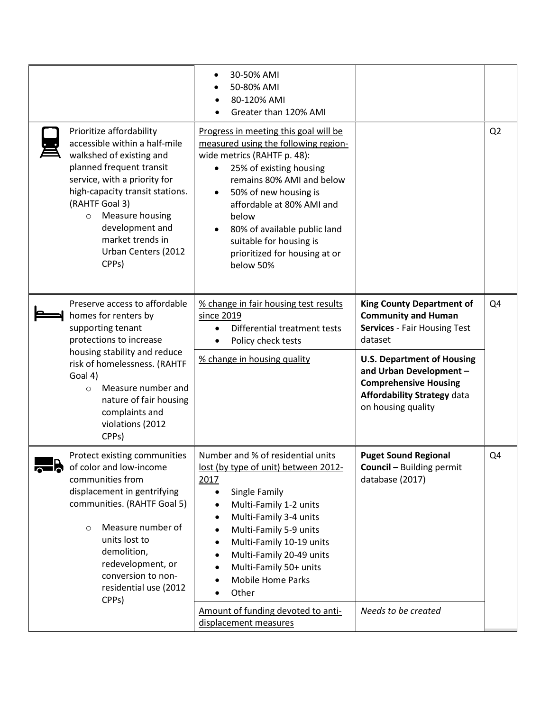|                                                                                                                                                                                                                                                                                                                          | 30-50% AMI<br>50-80% AMI<br>80-120% AMI<br>Greater than 120% AMI                                                                                                                                                                                                                                                                                                                                                                                  |                                                                                                                                                                                                                                                                             |                |
|--------------------------------------------------------------------------------------------------------------------------------------------------------------------------------------------------------------------------------------------------------------------------------------------------------------------------|---------------------------------------------------------------------------------------------------------------------------------------------------------------------------------------------------------------------------------------------------------------------------------------------------------------------------------------------------------------------------------------------------------------------------------------------------|-----------------------------------------------------------------------------------------------------------------------------------------------------------------------------------------------------------------------------------------------------------------------------|----------------|
| Prioritize affordability<br>accessible within a half-mile<br>walkshed of existing and<br>planned frequent transit<br>service, with a priority for<br>high-capacity transit stations.<br>(RAHTF Goal 3)<br>Measure housing<br>$\circ$<br>development and<br>market trends in<br>Urban Centers (2012<br>CPP <sub>S</sub> ) | Progress in meeting this goal will be<br>measured using the following region-<br>wide metrics (RAHTF p. 48):<br>25% of existing housing<br>remains 80% AMI and below<br>50% of new housing is<br>affordable at 80% AMI and<br>below<br>80% of available public land<br>suitable for housing is<br>prioritized for housing at or<br>below 50%                                                                                                      |                                                                                                                                                                                                                                                                             | Q <sub>2</sub> |
| Preserve access to affordable<br>homes for renters by<br>supporting tenant<br>protections to increase<br>housing stability and reduce<br>risk of homelessness. (RAHTF<br>Goal 4)<br>Measure number and<br>$\circ$<br>nature of fair housing<br>complaints and<br>violations (2012<br>CPP <sub>S</sub> )                  | % change in fair housing test results<br>since 2019<br>Differential treatment tests<br>Policy check tests<br>% change in housing quality                                                                                                                                                                                                                                                                                                          | <b>King County Department of</b><br><b>Community and Human</b><br><b>Services - Fair Housing Test</b><br>dataset<br><b>U.S. Department of Housing</b><br>and Urban Development-<br><b>Comprehensive Housing</b><br><b>Affordability Strategy data</b><br>on housing quality | Q4             |
| Protect existing communities<br>ם<br>of color and low-income<br>communities from<br>displacement in gentrifying<br>communities. (RAHTF Goal 5)<br>Measure number of<br>$\circ$<br>units lost to<br>demolition,<br>redevelopment, or<br>conversion to non-<br>residential use (2012<br>CPPs)                              | Number and % of residential units<br>lost (by type of unit) between 2012-<br>2017<br>Single Family<br>$\bullet$<br>Multi-Family 1-2 units<br>$\bullet$<br>Multi-Family 3-4 units<br>٠<br>Multi-Family 5-9 units<br>$\bullet$<br>Multi-Family 10-19 units<br>٠<br>Multi-Family 20-49 units<br>$\bullet$<br>Multi-Family 50+ units<br>$\bullet$<br><b>Mobile Home Parks</b><br>Other<br>Amount of funding devoted to anti-<br>displacement measures | <b>Puget Sound Regional</b><br><b>Council - Building permit</b><br>database (2017)<br>Needs to be created                                                                                                                                                                   | Q4             |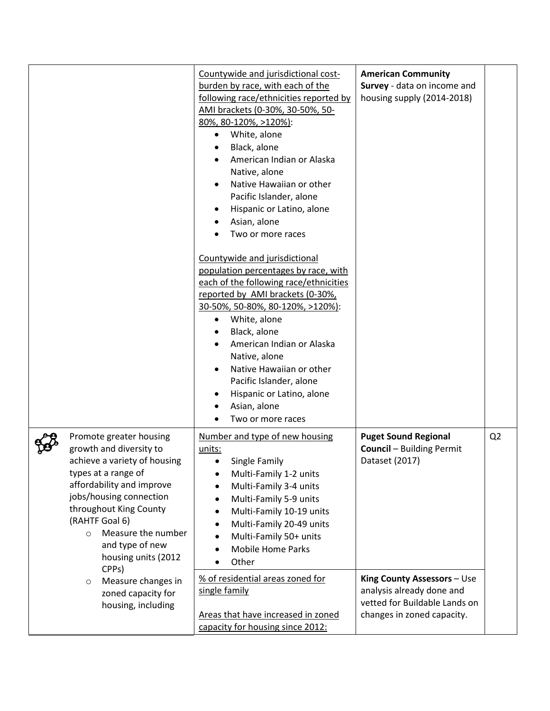|                                                                                                                                                                                                                                                                                                                                                                                             | Countywide and jurisdictional cost-<br>burden by race, with each of the<br>following race/ethnicities reported by<br>AMI brackets (0-30%, 30-50%, 50-<br>80%, 80-120%, >120%):<br>White, alone<br>$\bullet$<br>Black, alone<br>American Indian or Alaska<br>Native, alone<br>Native Hawaiian or other<br>Pacific Islander, alone<br>Hispanic or Latino, alone<br>$\bullet$<br>Asian, alone<br>Two or more races<br>Countywide and jurisdictional<br>population percentages by race, with<br>each of the following race/ethnicities<br>reported by AMI brackets (0-30%,<br>30-50%, 50-80%, 80-120%, >120%):<br>White, alone<br>$\bullet$<br>Black, alone<br>American Indian or Alaska<br>Native, alone<br>Native Hawaiian or other<br>Pacific Islander, alone<br>Hispanic or Latino, alone<br>Asian, alone<br>Two or more races | <b>American Community</b><br>Survey - data on income and<br>housing supply (2014-2018)                                                                                                                       |                |
|---------------------------------------------------------------------------------------------------------------------------------------------------------------------------------------------------------------------------------------------------------------------------------------------------------------------------------------------------------------------------------------------|--------------------------------------------------------------------------------------------------------------------------------------------------------------------------------------------------------------------------------------------------------------------------------------------------------------------------------------------------------------------------------------------------------------------------------------------------------------------------------------------------------------------------------------------------------------------------------------------------------------------------------------------------------------------------------------------------------------------------------------------------------------------------------------------------------------------------------|--------------------------------------------------------------------------------------------------------------------------------------------------------------------------------------------------------------|----------------|
| Promote greater housing<br>growth and diversity to<br>achieve a variety of housing<br>types at a range of<br>affordability and improve<br>jobs/housing connection<br>throughout King County<br>(RAHTF Goal 6)<br>Measure the number<br>$\circ$<br>and type of new<br>housing units (2012<br>CPP <sub>S</sub> )<br>Measure changes in<br>$\circ$<br>zoned capacity for<br>housing, including | Number and type of new housing<br>units:<br>Single Family<br>$\bullet$<br>Multi-Family 1-2 units<br>Multi-Family 3-4 units<br>Multi-Family 5-9 units<br>Multi-Family 10-19 units<br>Multi-Family 20-49 units<br>$\bullet$<br>Multi-Family 50+ units<br><b>Mobile Home Parks</b><br>Other<br>% of residential areas zoned for<br>single family<br>Areas that have increased in zoned<br>capacity for housing since 2012:                                                                                                                                                                                                                                                                                                                                                                                                        | <b>Puget Sound Regional</b><br><b>Council - Building Permit</b><br>Dataset (2017)<br>King County Assessors - Use<br>analysis already done and<br>vetted for Buildable Lands on<br>changes in zoned capacity. | Q <sub>2</sub> |